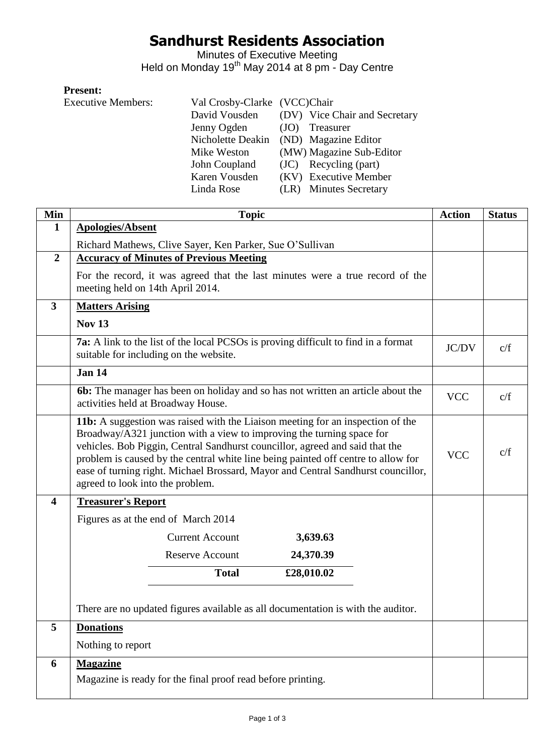# **Sandhurst Residents Association**

Minutes of Executive Meeting Held on Monday 19<sup>th</sup> May 2014 at 8 pm - Day Centre

### **Present:**

| <b>Executive Members:</b> | Val Crosby-Clarke (VCC)Chair |                               |
|---------------------------|------------------------------|-------------------------------|
|                           | David Vousden                | (DV) Vice Chair and Secretary |
|                           | Jenny Ogden                  | Treasurer<br>(JO)             |
|                           | Nicholette Deakin            | (ND) Magazine Editor          |
|                           | Mike Weston                  | (MW) Magazine Sub-Editor      |
|                           | John Coupland                | (JC) Recycling (part)         |
|                           | Karen Vousden                | (KV) Executive Member         |
|                           | Linda Rose                   | (LR) Minutes Secretary        |

| Min              | <b>Topic</b>                                                                                                                                                                                                                                                                                                                                                                                                                                         | <b>Action</b> | <b>Status</b> |
|------------------|------------------------------------------------------------------------------------------------------------------------------------------------------------------------------------------------------------------------------------------------------------------------------------------------------------------------------------------------------------------------------------------------------------------------------------------------------|---------------|---------------|
| $\mathbf{1}$     | <b>Apologies/Absent</b>                                                                                                                                                                                                                                                                                                                                                                                                                              |               |               |
|                  | Richard Mathews, Clive Sayer, Ken Parker, Sue O'Sullivan                                                                                                                                                                                                                                                                                                                                                                                             |               |               |
| $\overline{2}$   | <b>Accuracy of Minutes of Previous Meeting</b>                                                                                                                                                                                                                                                                                                                                                                                                       |               |               |
|                  | For the record, it was agreed that the last minutes were a true record of the<br>meeting held on 14th April 2014.                                                                                                                                                                                                                                                                                                                                    |               |               |
| $\mathbf{3}$     | <b>Matters Arising</b>                                                                                                                                                                                                                                                                                                                                                                                                                               |               |               |
|                  | <b>Nov 13</b>                                                                                                                                                                                                                                                                                                                                                                                                                                        |               |               |
|                  | <b>7a:</b> A link to the list of the local PCSOs is proving difficult to find in a format<br>suitable for including on the website.                                                                                                                                                                                                                                                                                                                  | JC/DV         | c/f           |
|                  | <b>Jan 14</b>                                                                                                                                                                                                                                                                                                                                                                                                                                        |               |               |
|                  | <b>6b:</b> The manager has been on holiday and so has not written an article about the<br>activities held at Broadway House.                                                                                                                                                                                                                                                                                                                         | <b>VCC</b>    | c/f           |
|                  | 11b: A suggestion was raised with the Liaison meeting for an inspection of the<br>Broadway/A321 junction with a view to improving the turning space for<br>vehicles. Bob Piggin, Central Sandhurst councillor, agreed and said that the<br>problem is caused by the central white line being painted off centre to allow for<br>ease of turning right. Michael Brossard, Mayor and Central Sandhurst councillor,<br>agreed to look into the problem. |               | c/f           |
| $\boldsymbol{4}$ | <b>Treasurer's Report</b>                                                                                                                                                                                                                                                                                                                                                                                                                            |               |               |
|                  | Figures as at the end of March 2014                                                                                                                                                                                                                                                                                                                                                                                                                  |               |               |
|                  | <b>Current Account</b><br>3,639.63                                                                                                                                                                                                                                                                                                                                                                                                                   |               |               |
|                  | <b>Reserve Account</b><br>24,370.39                                                                                                                                                                                                                                                                                                                                                                                                                  |               |               |
|                  | <b>Total</b><br>£28,010.02                                                                                                                                                                                                                                                                                                                                                                                                                           |               |               |
|                  |                                                                                                                                                                                                                                                                                                                                                                                                                                                      |               |               |
|                  | There are no updated figures available as all documentation is with the auditor.                                                                                                                                                                                                                                                                                                                                                                     |               |               |
| 5                | <b>Donations</b>                                                                                                                                                                                                                                                                                                                                                                                                                                     |               |               |
|                  | Nothing to report                                                                                                                                                                                                                                                                                                                                                                                                                                    |               |               |
| 6                | <b>Magazine</b>                                                                                                                                                                                                                                                                                                                                                                                                                                      |               |               |
|                  | Magazine is ready for the final proof read before printing.                                                                                                                                                                                                                                                                                                                                                                                          |               |               |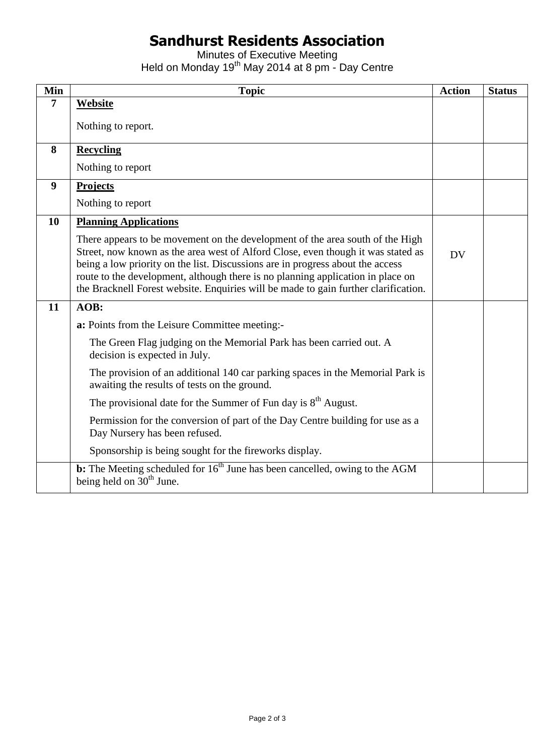# **Sandhurst Residents Association**

Minutes of Executive Meeting Held on Monday 19<sup>th</sup> May 2014 at 8 pm - Day Centre

| Min              | <b>Topic</b>                                                                                                                                                                                                                                                                                                                                                                                                                  | <b>Action</b> | <b>Status</b> |
|------------------|-------------------------------------------------------------------------------------------------------------------------------------------------------------------------------------------------------------------------------------------------------------------------------------------------------------------------------------------------------------------------------------------------------------------------------|---------------|---------------|
| $\overline{7}$   | <b>Website</b>                                                                                                                                                                                                                                                                                                                                                                                                                |               |               |
|                  | Nothing to report.                                                                                                                                                                                                                                                                                                                                                                                                            |               |               |
| 8                | <b>Recycling</b>                                                                                                                                                                                                                                                                                                                                                                                                              |               |               |
|                  | Nothing to report                                                                                                                                                                                                                                                                                                                                                                                                             |               |               |
| $\boldsymbol{9}$ | <b>Projects</b>                                                                                                                                                                                                                                                                                                                                                                                                               |               |               |
|                  | Nothing to report                                                                                                                                                                                                                                                                                                                                                                                                             |               |               |
| 10               | <b>Planning Applications</b>                                                                                                                                                                                                                                                                                                                                                                                                  |               |               |
|                  | There appears to be movement on the development of the area south of the High<br>Street, now known as the area west of Alford Close, even though it was stated as<br>being a low priority on the list. Discussions are in progress about the access<br>route to the development, although there is no planning application in place on<br>the Bracknell Forest website. Enquiries will be made to gain further clarification. | <b>DV</b>     |               |
| 11               | AOB:                                                                                                                                                                                                                                                                                                                                                                                                                          |               |               |
|                  | a: Points from the Leisure Committee meeting:-                                                                                                                                                                                                                                                                                                                                                                                |               |               |
|                  | The Green Flag judging on the Memorial Park has been carried out. A<br>decision is expected in July.                                                                                                                                                                                                                                                                                                                          |               |               |
|                  | The provision of an additional 140 car parking spaces in the Memorial Park is<br>awaiting the results of tests on the ground.                                                                                                                                                                                                                                                                                                 |               |               |
|                  | The provisional date for the Summer of Fun day is 8 <sup>th</sup> August.                                                                                                                                                                                                                                                                                                                                                     |               |               |
|                  | Permission for the conversion of part of the Day Centre building for use as a<br>Day Nursery has been refused.                                                                                                                                                                                                                                                                                                                |               |               |
|                  | Sponsorship is being sought for the fireworks display.                                                                                                                                                                                                                                                                                                                                                                        |               |               |
|                  | <b>b:</b> The Meeting scheduled for $16th$ June has been cancelled, owing to the AGM<br>being held on $30th$ June.                                                                                                                                                                                                                                                                                                            |               |               |